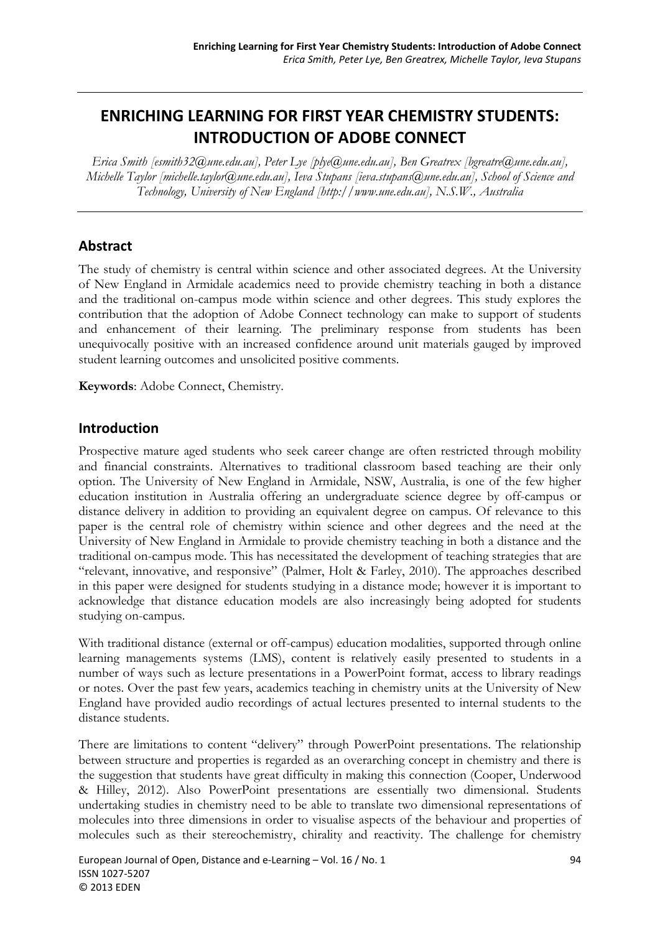# **ENRICHING LEARNING FOR FIRST YEAR CHEMISTRY STUDENTS: INTRODUCTION OF ADOBE CONNECT**

*Erica Smith [esmith32@une.edu.au], Peter Lye [plye@une.edu.au], Ben Greatrex [bgreatre@une.edu.au], Michelle Taylor [michelle.taylor@une.edu.au], Ieva Stupans [ieva.stupans@une.edu.au], School of Science and Technology, University of New England [http://www.une.edu.au], N.S.W., Australia* 

### **Abstract**

The study of chemistry is central within science and other associated degrees. At the University of New England in Armidale academics need to provide chemistry teaching in both a distance and the traditional on-campus mode within science and other degrees. This study explores the contribution that the adoption of Adobe Connect technology can make to support of students and enhancement of their learning. The preliminary response from students has been unequivocally positive with an increased confidence around unit materials gauged by improved student learning outcomes and unsolicited positive comments.

**Keywords**: Adobe Connect, Chemistry.

### **Introduction**

Prospective mature aged students who seek career change are often restricted through mobility and financial constraints. Alternatives to traditional classroom based teaching are their only option. The University of New England in Armidale, NSW, Australia, is one of the few higher education institution in Australia offering an undergraduate science degree by off-campus or distance delivery in addition to providing an equivalent degree on campus. Of relevance to this paper is the central role of chemistry within science and other degrees and the need at the University of New England in Armidale to provide chemistry teaching in both a distance and the traditional on-campus mode. This has necessitated the development of teaching strategies that are "relevant, innovative, and responsive" (Palmer, Holt & Farley, 2010). The approaches described in this paper were designed for students studying in a distance mode; however it is important to acknowledge that distance education models are also increasingly being adopted for students studying on-campus.

With traditional distance (external or off-campus) education modalities, supported through online learning managements systems (LMS), content is relatively easily presented to students in a number of ways such as lecture presentations in a PowerPoint format, access to library readings or notes. Over the past few years, academics teaching in chemistry units at the University of New England have provided audio recordings of actual lectures presented to internal students to the distance students.

There are limitations to content "delivery" through PowerPoint presentations. The relationship between structure and properties is regarded as an overarching concept in chemistry and there is the suggestion that students have great difficulty in making this connection (Cooper, Underwood & Hilley, 2012). Also PowerPoint presentations are essentially two dimensional. Students undertaking studies in chemistry need to be able to translate two dimensional representations of molecules into three dimensions in order to visualise aspects of the behaviour and properties of molecules such as their stereochemistry, chirality and reactivity. The challenge for chemistry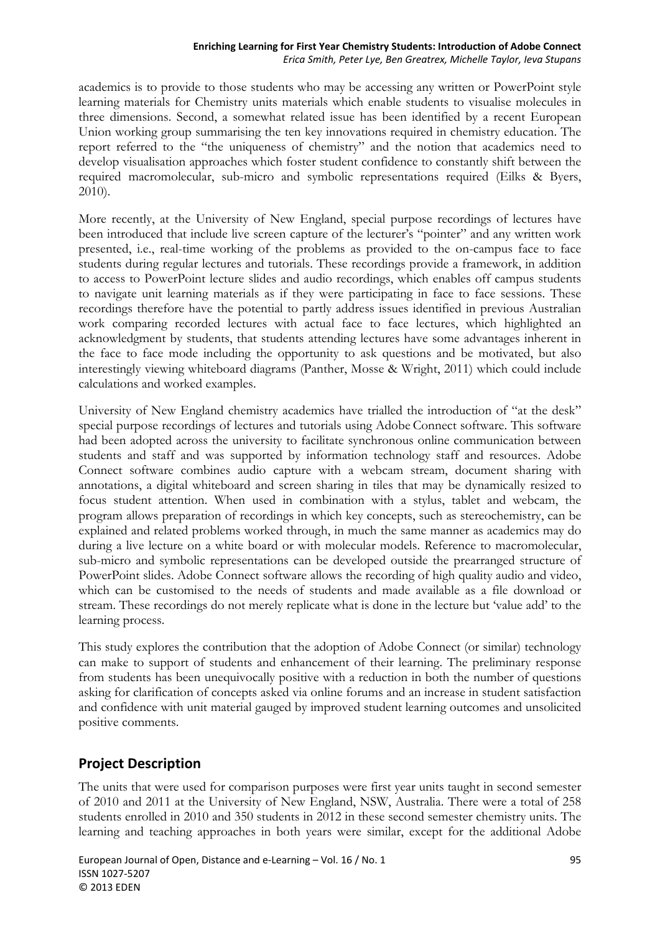academics is to provide to those students who may be accessing any written or PowerPoint style learning materials for Chemistry units materials which enable students to visualise molecules in three dimensions. Second, a somewhat related issue has been identified by a recent European Union working group summarising the ten key innovations required in chemistry education. The report referred to the "the uniqueness of chemistry" and the notion that academics need to develop visualisation approaches which foster student confidence to constantly shift between the required macromolecular, sub-micro and symbolic representations required (Eilks & Byers, 2010).

More recently, at the University of New England, special purpose recordings of lectures have been introduced that include live screen capture of the lecturer's "pointer" and any written work presented, i.e., real-time working of the problems as provided to the on-campus face to face students during regular lectures and tutorials. These recordings provide a framework, in addition to access to PowerPoint lecture slides and audio recordings, which enables off campus students to navigate unit learning materials as if they were participating in face to face sessions. These recordings therefore have the potential to partly address issues identified in previous Australian work comparing recorded lectures with actual face to face lectures, which highlighted an acknowledgment by students, that students attending lectures have some advantages inherent in the face to face mode including the opportunity to ask questions and be motivated, but also interestingly viewing whiteboard diagrams (Panther, Mosse & Wright, 2011) which could include calculations and worked examples.

University of New England chemistry academics have trialled the introduction of "at the desk" special purpose recordings of lectures and tutorials using Adobe Connect software. This software had been adopted across the university to facilitate synchronous online communication between students and staff and was supported by information technology staff and resources. Adobe Connect software combines audio capture with a webcam stream, document sharing with annotations, a digital whiteboard and screen sharing in tiles that may be dynamically resized to focus student attention. When used in combination with a stylus, tablet and webcam, the program allows preparation of recordings in which key concepts, such as stereochemistry, can be explained and related problems worked through, in much the same manner as academics may do during a live lecture on a white board or with molecular models. Reference to macromolecular, sub-micro and symbolic representations can be developed outside the prearranged structure of PowerPoint slides. Adobe Connect software allows the recording of high quality audio and video, which can be customised to the needs of students and made available as a file download or stream. These recordings do not merely replicate what is done in the lecture but 'value add' to the learning process.

This study explores the contribution that the adoption of Adobe Connect (or similar) technology can make to support of students and enhancement of their learning. The preliminary response from students has been unequivocally positive with a reduction in both the number of questions asking for clarification of concepts asked via online forums and an increase in student satisfaction and confidence with unit material gauged by improved student learning outcomes and unsolicited positive comments.

## **Project Description**

The units that were used for comparison purposes were first year units taught in second semester of 2010 and 2011 at the University of New England, NSW, Australia. There were a total of 258 students enrolled in 2010 and 350 students in 2012 in these second semester chemistry units. The learning and teaching approaches in both years were similar, except for the additional Adobe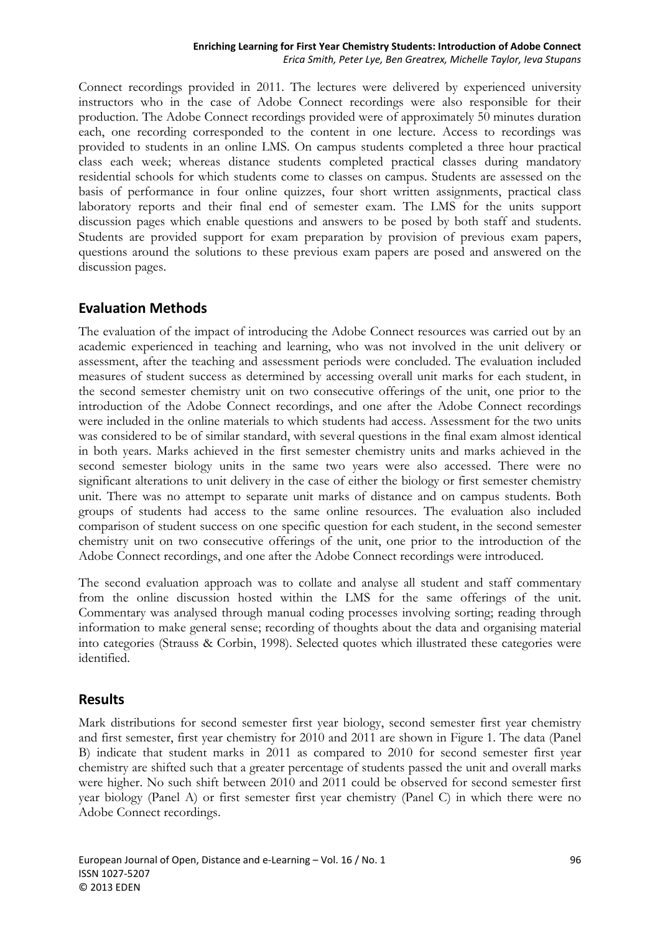Connect recordings provided in 2011. The lectures were delivered by experienced university instructors who in the case of Adobe Connect recordings were also responsible for their production. The Adobe Connect recordings provided were of approximately 50 minutes duration each, one recording corresponded to the content in one lecture. Access to recordings was provided to students in an online LMS. On campus students completed a three hour practical class each week; whereas distance students completed practical classes during mandatory residential schools for which students come to classes on campus. Students are assessed on the basis of performance in four online quizzes, four short written assignments, practical class laboratory reports and their final end of semester exam. The LMS for the units support discussion pages which enable questions and answers to be posed by both staff and students. Students are provided support for exam preparation by provision of previous exam papers, questions around the solutions to these previous exam papers are posed and answered on the discussion pages.

### **Evaluation Methods**

The evaluation of the impact of introducing the Adobe Connect resources was carried out by an academic experienced in teaching and learning, who was not involved in the unit delivery or assessment, after the teaching and assessment periods were concluded. The evaluation included measures of student success as determined by accessing overall unit marks for each student, in the second semester chemistry unit on two consecutive offerings of the unit, one prior to the introduction of the Adobe Connect recordings, and one after the Adobe Connect recordings were included in the online materials to which students had access. Assessment for the two units was considered to be of similar standard, with several questions in the final exam almost identical in both years. Marks achieved in the first semester chemistry units and marks achieved in the second semester biology units in the same two years were also accessed. There were no significant alterations to unit delivery in the case of either the biology or first semester chemistry unit. There was no attempt to separate unit marks of distance and on campus students. Both groups of students had access to the same online resources. The evaluation also included comparison of student success on one specific question for each student, in the second semester chemistry unit on two consecutive offerings of the unit, one prior to the introduction of the Adobe Connect recordings, and one after the Adobe Connect recordings were introduced.

The second evaluation approach was to collate and analyse all student and staff commentary from the online discussion hosted within the LMS for the same offerings of the unit. Commentary was analysed through manual coding processes involving sorting; reading through information to make general sense; recording of thoughts about the data and organising material into categories (Strauss & Corbin, 1998). Selected quotes which illustrated these categories were identified.

### **Results**

Mark distributions for second semester first year biology, second semester first year chemistry and first semester, first year chemistry for 2010 and 2011 are shown in Figure 1. The data (Panel B) indicate that student marks in 2011 as compared to 2010 for second semester first year chemistry are shifted such that a greater percentage of students passed the unit and overall marks were higher. No such shift between 2010 and 2011 could be observed for second semester first year biology (Panel A) or first semester first year chemistry (Panel C) in which there were no Adobe Connect recordings.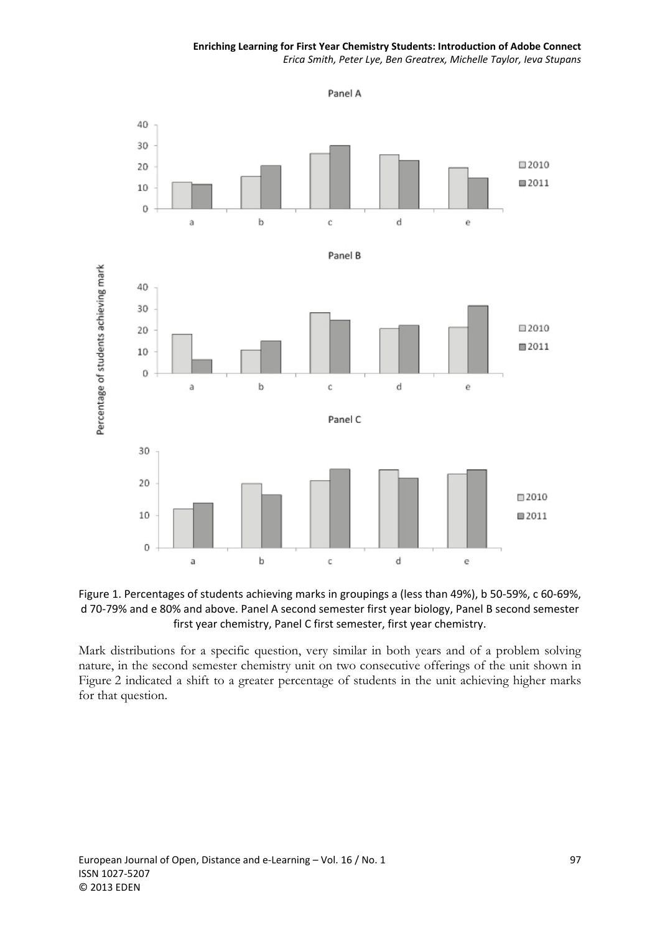#### **Enriching Learning for First Year Chemistry Students: Introduction of Adobe Connect** *Erica Smith, Peter Lye, Ben Greatrex, Michelle Taylor, Ieva Stupans*





Mark distributions for a specific question, very similar in both years and of a problem solving nature, in the second semester chemistry unit on two consecutive offerings of the unit shown in Figure 2 indicated a shift to a greater percentage of students in the unit achieving higher marks for that question.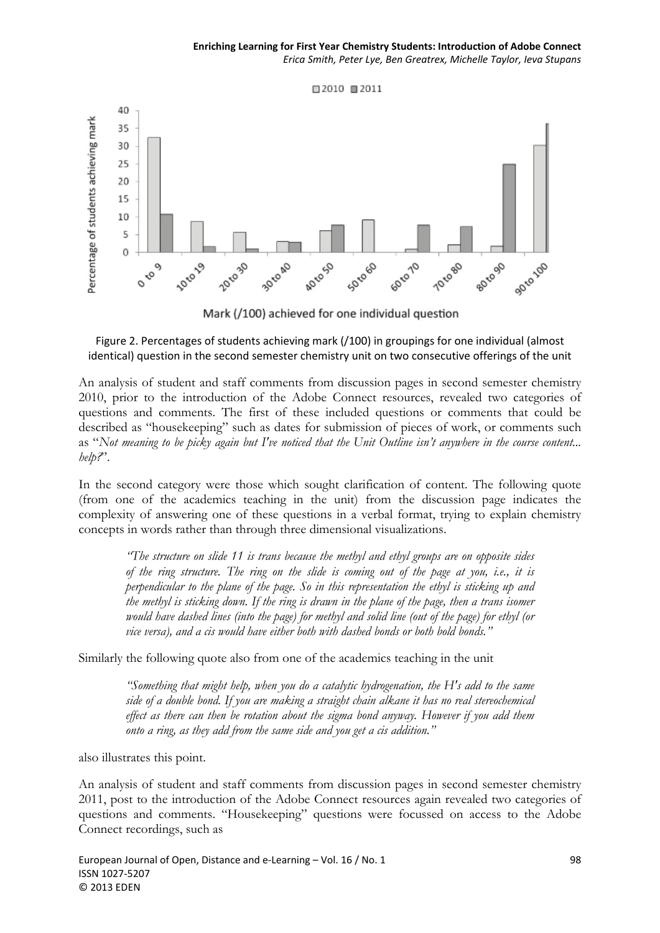

Mark (/100) achieved for one individual question

#### Figure 2. Percentages of students achieving mark (/100) in groupings for one individual (almost identical) question in the second semester chemistry unit on two consecutive offerings of the unit

An analysis of student and staff comments from discussion pages in second semester chemistry 2010, prior to the introduction of the Adobe Connect resources, revealed two categories of questions and comments. The first of these included questions or comments that could be described as "housekeeping" such as dates for submission of pieces of work, or comments such as "*Not meaning to be picky again but I've noticed that the Unit Outline isn't anywhere in the course content... help?*".

In the second category were those which sought clarification of content. The following quote (from one of the academics teaching in the unit) from the discussion page indicates the complexity of answering one of these questions in a verbal format, trying to explain chemistry concepts in words rather than through three dimensional visualizations.

*"The structure on slide 11 is trans because the methyl and ethyl groups are on opposite sides of the ring structure. The ring on the slide is coming out of the page at you, i.e., it is perpendicular to the plane of the page. So in this representation the ethyl is sticking up and the methyl is sticking down. If the ring is drawn in the plane of the page, then a trans isomer would have dashed lines (into the page) for methyl and solid line (out of the page) for ethyl (or vice versa), and a cis would have either both with dashed bonds or both bold bonds."* 

Similarly the following quote also from one of the academics teaching in the unit

*"Something that might help, when you do a catalytic hydrogenation, the H's add to the same side of a double bond. If you are making a straight chain alkane it has no real stereochemical effect as there can then be rotation about the sigma bond anyway. However if you add them onto a ring, as they add from the same side and you get a cis addition."* 

also illustrates this point.

An analysis of student and staff comments from discussion pages in second semester chemistry 2011, post to the introduction of the Adobe Connect resources again revealed two categories of questions and comments. "Housekeeping" questions were focussed on access to the Adobe Connect recordings, such as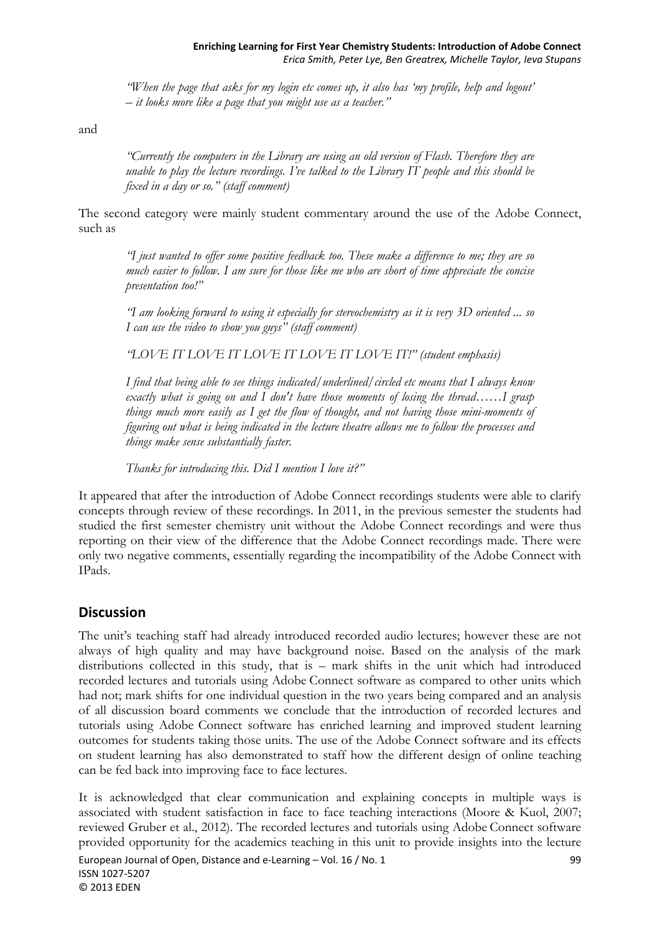*"When the page that asks for my login etc comes up, it also has 'my profile, help and logout' – it looks more like a page that you might use as a teacher."* 

and

*"Currently the computers in the Library are using an old version of Flash. Therefore they are unable to play the lecture recordings. I've talked to the Library IT people and this should be fixed in a day or so." (staff comment)* 

The second category were mainly student commentary around the use of the Adobe Connect, such as

*"I just wanted to offer some positive feedback too. These make a difference to me; they are so much easier to follow. I am sure for those like me who are short of time appreciate the concise presentation too!"* 

*"I am looking forward to using it especially for stereochemistry as it is very 3D oriented ... so I can use the video to show you guys" (staff comment)* 

*"LOVE IT LOVE IT LOVE IT LOVE IT LOVE IT!" (student emphasis)* 

*I find that being able to see things indicated/underlined/circled etc means that I always know exactly what is going on and I don't have those moments of losing the thread……I grasp things much more easily as I get the flow of thought, and not having those mini-moments of figuring out what is being indicated in the lecture theatre allows me to follow the processes and things make sense substantially faster.* 

*Thanks for introducing this. Did I mention I love it?"* 

It appeared that after the introduction of Adobe Connect recordings students were able to clarify concepts through review of these recordings. In 2011, in the previous semester the students had studied the first semester chemistry unit without the Adobe Connect recordings and were thus reporting on their view of the difference that the Adobe Connect recordings made. There were only two negative comments, essentially regarding the incompatibility of the Adobe Connect with IPads.

### **Discussion**

The unit's teaching staff had already introduced recorded audio lectures; however these are not always of high quality and may have background noise. Based on the analysis of the mark distributions collected in this study, that is – mark shifts in the unit which had introduced recorded lectures and tutorials using Adobe Connect software as compared to other units which had not; mark shifts for one individual question in the two years being compared and an analysis of all discussion board comments we conclude that the introduction of recorded lectures and tutorials using Adobe Connect software has enriched learning and improved student learning outcomes for students taking those units. The use of the Adobe Connect software and its effects on student learning has also demonstrated to staff how the different design of online teaching can be fed back into improving face to face lectures.

It is acknowledged that clear communication and explaining concepts in multiple ways is associated with student satisfaction in face to face teaching interactions (Moore & Kuol, 2007; reviewed Gruber et al., 2012). The recorded lectures and tutorials using Adobe Connect software provided opportunity for the academics teaching in this unit to provide insights into the lecture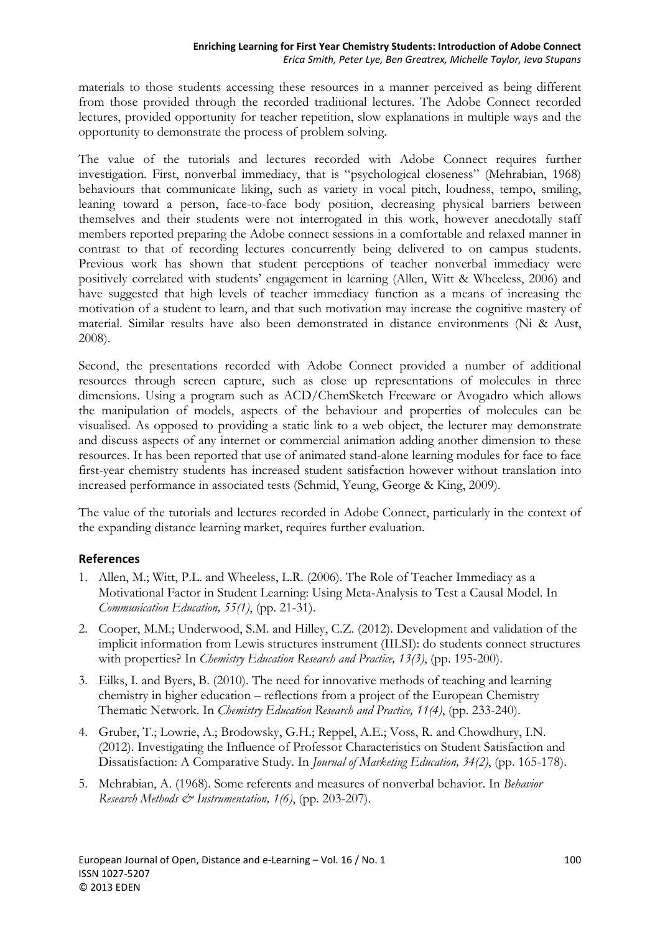materials to those students accessing these resources in a manner perceived as being different from those provided through the recorded traditional lectures. The Adobe Connect recorded lectures, provided opportunity for teacher repetition, slow explanations in multiple ways and the opportunity to demonstrate the process of problem solving.

The value of the tutorials and lectures recorded with Adobe Connect requires further investigation. First, nonverbal immediacy, that is "psychological closeness" (Mehrabian, 1968) behaviours that communicate liking, such as variety in vocal pitch, loudness, tempo, smiling, leaning toward a person, face-to-face body position, decreasing physical barriers between themselves and their students were not interrogated in this work, however anecdotally staff members reported preparing the Adobe connect sessions in a comfortable and relaxed manner in contrast to that of recording lectures concurrently being delivered to on campus students. Previous work has shown that student perceptions of teacher nonverbal immediacy were positively correlated with students' engagement in learning (Allen, Witt & Wheeless, 2006) and have suggested that high levels of teacher immediacy function as a means of increasing the motivation of a student to learn, and that such motivation may increase the cognitive mastery of material. Similar results have also been demonstrated in distance environments (Ni & Aust, 2008).

Second, the presentations recorded with Adobe Connect provided a number of additional resources through screen capture, such as close up representations of molecules in three dimensions. Using a program such as ACD/ChemSketch Freeware or Avogadro which allows the manipulation of models, aspects of the behaviour and properties of molecules can be visualised. As opposed to providing a static link to a web object, the lecturer may demonstrate and discuss aspects of any internet or commercial animation adding another dimension to these resources. It has been reported that use of animated stand-alone learning modules for face to face first-year chemistry students has increased student satisfaction however without translation into increased performance in associated tests (Schmid, Yeung, George & King, 2009).

The value of the tutorials and lectures recorded in Adobe Connect, particularly in the context of the expanding distance learning market, requires further evaluation.

#### **References**

- 1. Allen, M.; Witt, P.L. and Wheeless, L.R. (2006). The Role of Teacher Immediacy as a Motivational Factor in Student Learning: Using Meta-Analysis to Test a Causal Model. In *Communication Education, 55(1)*, (pp. 21-31).
- 2. Cooper, M.M.; Underwood, S.M. and Hilley, C.Z. (2012). Development and validation of the implicit information from Lewis structures instrument (IILSI): do students connect structures with properties? In *Chemistry Education Research and Practice, 13(3)*, (pp. 195-200).
- 3. Eilks, I. and Byers, B. (2010). The need for innovative methods of teaching and learning chemistry in higher education – reflections from a project of the European Chemistry Thematic Network. In *Chemistry Education Research and Practice, 11(4)*, (pp. 233-240).
- 4. Gruber, T.; Lowrie, A.; Brodowsky, G.H.; Reppel, A.E.; Voss, R. and Chowdhury, I.N. (2012). Investigating the Influence of Professor Characteristics on Student Satisfaction and Dissatisfaction: A Comparative Study. In *Journal of Marketing Education, 34(2)*, (pp. 165-178).
- 5. Mehrabian, A. (1968). Some referents and measures of nonverbal behavior. In *Behavior Research Methods & Instrumentation, 1(6)*, (pp. 203-207).